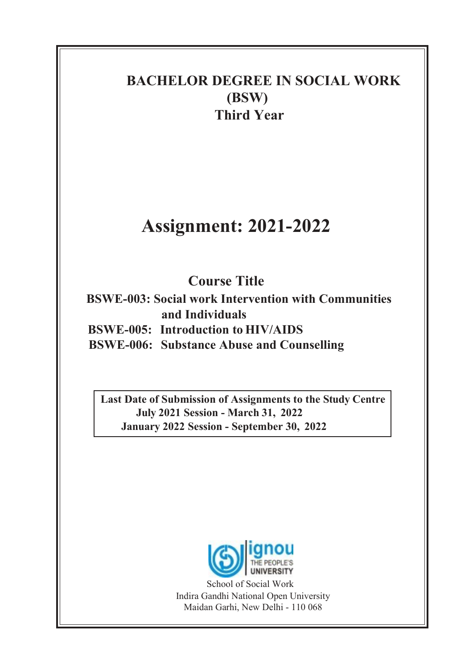## BACHELOR DEGREE IN SOCIAL WORK (BSW) Third Year

# Assignment: 2021-2022

## Course Title

BSWE-003: Social work Intervention with Communities and Individuals BSWE-005: Introduction to HIV/AIDS

BSWE-006: Substance Abuse and Counselling

Last Date of Submission of Assignments to the Study Centre July 2021 Session - March 31, 2022 January 2022 Session - September 30, 2022



School of Social Work Indira Gandhi National Open University Maidan Garhi, New Delhi - 110 068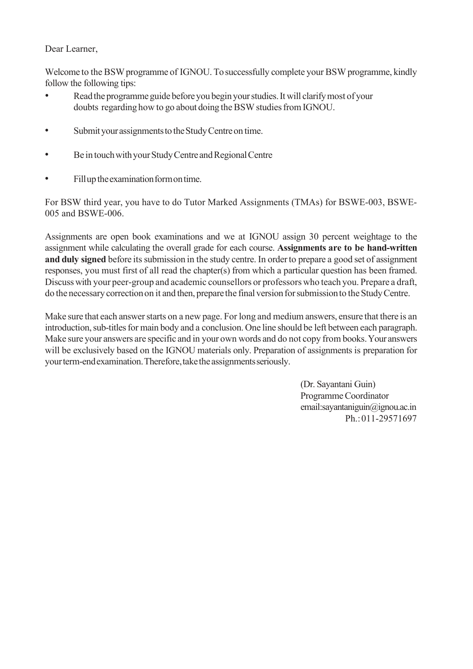#### Dear Learner,

Welcome to the BSW programme of IGNOU. To successfully complete your BSW programme, kindly follow the following tips:

- Read the programme guide before you begin your studies. It will clarify most of your doubts regarding how to go about doing the BSW studies from IGNOU.
- Submit your assignments to the Study Centre on time.
- Be in touch with your Study Centre and Regional Centre
- Fill up the examination form on time.

For BSW third year, you have to do Tutor Marked Assignments (TMAs) for BSWE-003, BSWE-005 and BSWE-006.

Assignments are open book examinations and we at IGNOU assign 30 percent weightage to the assignment while calculating the overall grade for each course. Assignments are to be hand-written and duly signed before its submission in the study centre. In order to prepare a good set of assignment responses, you must first of all read the chapter(s) from which a particular question has been framed. Discuss with your peer-group and academic counsellors or professors who teach you. Prepare a draft, do the necessary correction on it and then, prepare the final version for submission to the Study Centre.

Make sure that each answer starts on a new page. For long and medium answers, ensure that there is an introduction, sub-titles for main body and a conclusion. One line should be left between each paragraph. Make sure your answers are specific and in your own words and do not copy from books. Your answers will be exclusively based on the IGNOU materials only. Preparation of assignments is preparation for your term-end examination. Therefore, take the assignments seriously.

> (Dr. Sayantani Guin) Programme Coordinator email:sayantaniguin@ignou.ac.in Ph.: 011-29571697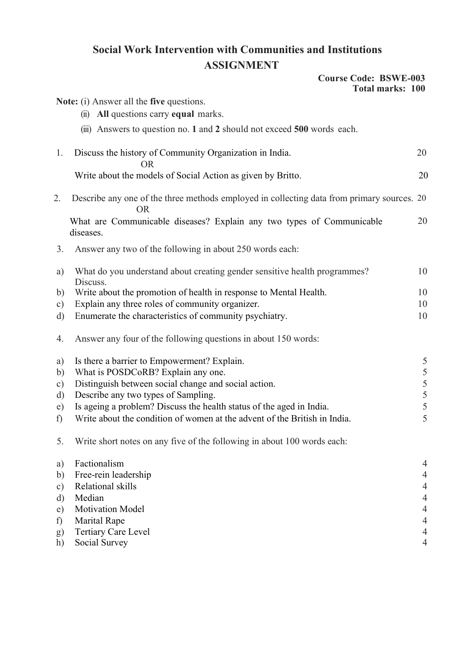### Social Work Intervention with Communities and Institutions ASSIGNMENT

#### Course Code: BSWE-003 Total marks: 100

|                  | Note: (i) Answer all the five questions.                                                                |                                  |
|------------------|---------------------------------------------------------------------------------------------------------|----------------------------------|
|                  | (ii) All questions carry equal marks.                                                                   |                                  |
|                  | (iii) Answers to question no. 1 and 2 should not exceed 500 words each.                                 |                                  |
| 1.               | Discuss the history of Community Organization in India.<br><b>OR</b>                                    | 20                               |
|                  | Write about the models of Social Action as given by Britto.                                             | 20                               |
| 2.               | Describe any one of the three methods employed in collecting data from primary sources. 20<br><b>OR</b> |                                  |
|                  | What are Communicable diseases? Explain any two types of Communicable<br>diseases.                      | 20                               |
| 3.               | Answer any two of the following in about 250 words each:                                                |                                  |
| a)               | What do you understand about creating gender sensitive health programmes?<br>Discuss.                   | 10                               |
| b)               | Write about the promotion of health in response to Mental Health.                                       | 10                               |
| $\mathbf{c})$    | Explain any three roles of community organizer.                                                         | 10                               |
| d)               | Enumerate the characteristics of community psychiatry.                                                  | 10                               |
| 4.               | Answer any four of the following questions in about 150 words:                                          |                                  |
| a)               | Is there a barrier to Empowerment? Explain.                                                             | 5                                |
| b)               | What is POSDCoRB? Explain any one.                                                                      | 5                                |
| $\circ$ )        | Distinguish between social change and social action.                                                    | 5                                |
| d)               | Describe any two types of Sampling.                                                                     | 5                                |
| e)               | Is ageing a problem? Discuss the health status of the aged in India.                                    | 5                                |
| f)               | Write about the condition of women at the advent of the British in India.                               | 5                                |
| 5.               | Write short notes on any five of the following in about 100 words each:                                 |                                  |
| a)               | Factionalism                                                                                            | $\overline{4}$                   |
| b)               | Free-rein leadership                                                                                    | $\overline{4}$                   |
| $\circ$ )        | Relational skills                                                                                       | $\overline{4}$                   |
| d)               | Median                                                                                                  | $\overline{4}$                   |
| e)               | <b>Motivation Model</b>                                                                                 | $\overline{4}$                   |
| f)               | <b>Marital Rape</b>                                                                                     | $\overline{4}$                   |
| $\left(g\right)$ | Tertiary Care Level<br>Social Survey                                                                    | $\overline{4}$<br>$\overline{4}$ |
| h)               |                                                                                                         |                                  |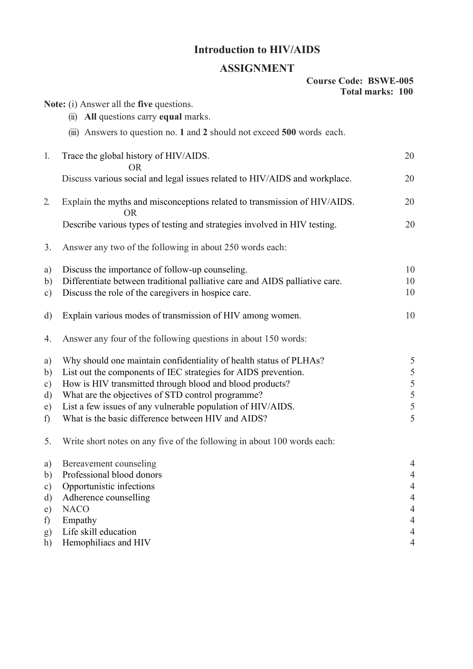## Introduction to HIV/AIDS

## ASSIGNMENT

|           | <b>ADDIUITIEITI</b>                                                                    |                         |
|-----------|----------------------------------------------------------------------------------------|-------------------------|
|           | <b>Course Code: BSWE-005</b>                                                           | <b>Total marks: 100</b> |
|           | <b>Note:</b> (i) Answer all the <b>five</b> questions.                                 |                         |
|           | (ii) All questions carry equal marks.                                                  |                         |
|           | (iii) Answers to question no. 1 and 2 should not exceed 500 words each.                |                         |
| 1.        | Trace the global history of HIV/AIDS.<br><b>OR</b>                                     | 20                      |
|           | Discuss various social and legal issues related to HIV/AIDS and workplace.             | 20                      |
| 2.        | Explain the myths and misconceptions related to transmission of HIV/AIDS.<br><b>OR</b> | 20                      |
|           | Describe various types of testing and strategies involved in HIV testing.              | 20                      |
| 3.        | Answer any two of the following in about 250 words each:                               |                         |
| a)        | Discuss the importance of follow-up counseling.                                        | 10                      |
| b)        | Differentiate between traditional palliative care and AIDS palliative care.            | 10                      |
| c)        | Discuss the role of the caregivers in hospice care.                                    | 10                      |
| $\rm d)$  | Explain various modes of transmission of HIV among women.                              | 10                      |
| 4.        | Answer any four of the following questions in about 150 words:                         |                         |
| a)        | Why should one maintain confidentiality of health status of PLHAs?                     | 5                       |
| b)        | List out the components of IEC strategies for AIDS prevention.                         | 5                       |
| $\circ$ ) | How is HIV transmitted through blood and blood products?                               | 5                       |
| d)        | What are the objectives of STD control programme?                                      | 5                       |
| e)        | List a few issues of any vulnerable population of HIV/AIDS.                            | 5                       |
| f)        | What is the basic difference between HIV and AIDS?                                     | 5                       |
| 5.        | Write short notes on any five of the following in about 100 words each:                |                         |
| a)        | Bereavement counseling                                                                 | 4                       |
| b)        | Professional blood donors                                                              | 4                       |
| c)        | Opportunistic infections                                                               |                         |
| d)        | Adherence counselling                                                                  |                         |
| e)        | <b>NACO</b>                                                                            |                         |
| f)        | Empathy                                                                                | 4                       |
| g)        | Life skill education                                                                   | 4                       |
| h)        | Hemophiliacs and HIV                                                                   | 4                       |